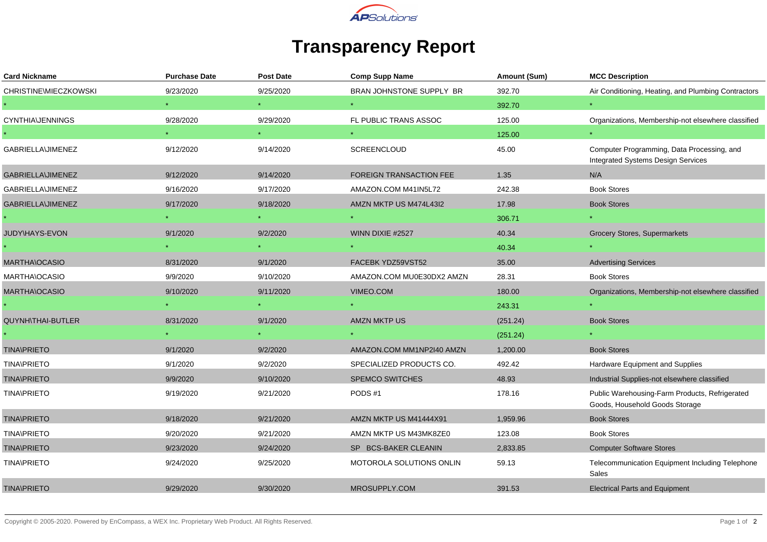

## **Transparency Report**

| <b>Card Nickname</b>     | <b>Purchase Date</b> | <b>Post Date</b> | <b>Comp Supp Name</b>          | Amount (Sum) | <b>MCC Description</b>                                                                  |
|--------------------------|----------------------|------------------|--------------------------------|--------------|-----------------------------------------------------------------------------------------|
| CHRISTINE\MIECZKOWSKI    | 9/23/2020            | 9/25/2020        | BRAN JOHNSTONE SUPPLY BR       | 392.70       | Air Conditioning, Heating, and Plumbing Contractors                                     |
|                          |                      |                  |                                | 392.70       |                                                                                         |
| <b>CYNTHIA\JENNINGS</b>  | 9/28/2020            | 9/29/2020        | FL PUBLIC TRANS ASSOC          | 125.00       | Organizations, Membership-not elsewhere classified                                      |
|                          |                      | $\star$ .        |                                | 125.00       |                                                                                         |
| <b>GABRIELLA\JIMENEZ</b> | 9/12/2020            | 9/14/2020        | SCREENCLOUD                    | 45.00        | Computer Programming, Data Processing, and<br><b>Integrated Systems Design Services</b> |
| <b>GABRIELLA\JIMENEZ</b> | 9/12/2020            | 9/14/2020        | <b>FOREIGN TRANSACTION FEE</b> | 1.35         | N/A                                                                                     |
| GABRIELLA\JIMENEZ        | 9/16/2020            | 9/17/2020        | AMAZON.COM M41IN5L72           | 242.38       | <b>Book Stores</b>                                                                      |
| <b>GABRIELLA\JIMENEZ</b> | 9/17/2020            | 9/18/2020        | AMZN MKTP US M474L43I2         | 17.98        | <b>Book Stores</b>                                                                      |
|                          |                      |                  |                                | 306.71       |                                                                                         |
| JUDY\HAYS-EVON           | 9/1/2020             | 9/2/2020         | WINN DIXIE #2527               | 40.34        | Grocery Stores, Supermarkets                                                            |
|                          |                      |                  |                                | 40.34        |                                                                                         |
| MARTHA\OCASIO            | 8/31/2020            | 9/1/2020         | FACEBK YDZ59VST52              | 35.00        | <b>Advertising Services</b>                                                             |
| MARTHA\OCASIO            | 9/9/2020             | 9/10/2020        | AMAZON.COM MU0E30DX2 AMZN      | 28.31        | <b>Book Stores</b>                                                                      |
| <b>MARTHA\OCASIO</b>     | 9/10/2020            | 9/11/2020        | VIMEO.COM                      | 180.00       | Organizations, Membership-not elsewhere classified                                      |
|                          |                      |                  |                                | 243.31       |                                                                                         |
| <b>QUYNH\THAI-BUTLER</b> | 8/31/2020            | 9/1/2020         | AMZN MKTP US                   | (251.24)     | <b>Book Stores</b>                                                                      |
|                          |                      |                  |                                | (251.24)     |                                                                                         |
| <b>TINA\PRIETO</b>       | 9/1/2020             | 9/2/2020         | AMAZON.COM MM1NP2I40 AMZN      | 1,200.00     | <b>Book Stores</b>                                                                      |
| <b>TINA\PRIETO</b>       | 9/1/2020             | 9/2/2020         | SPECIALIZED PRODUCTS CO.       | 492.42       | Hardware Equipment and Supplies                                                         |
| <b>TINA\PRIETO</b>       | 9/9/2020             | 9/10/2020        | <b>SPEMCO SWITCHES</b>         | 48.93        | Industrial Supplies-not elsewhere classified                                            |
| <b>TINA\PRIETO</b>       | 9/19/2020            | 9/21/2020        | PODS#1                         | 178.16       | Public Warehousing-Farm Products, Refrigerated<br>Goods, Household Goods Storage        |
| <b>TINA\PRIETO</b>       | 9/18/2020            | 9/21/2020        | AMZN MKTP US M41444X91         | 1,959.96     | <b>Book Stores</b>                                                                      |
| <b>TINA\PRIETO</b>       | 9/20/2020            | 9/21/2020        | AMZN MKTP US M43MK8ZE0         | 123.08       | <b>Book Stores</b>                                                                      |
| <b>TINA\PRIETO</b>       | 9/23/2020            | 9/24/2020        | SP BCS-BAKER CLEANIN           | 2,833.85     | <b>Computer Software Stores</b>                                                         |
| <b>TINA\PRIETO</b>       | 9/24/2020            | 9/25/2020        | MOTOROLA SOLUTIONS ONLIN       | 59.13        | Telecommunication Equipment Including Telephone<br>Sales                                |
| <b>TINA\PRIETO</b>       | 9/29/2020            | 9/30/2020        | MROSUPPLY.COM                  | 391.53       | <b>Electrical Parts and Equipment</b>                                                   |